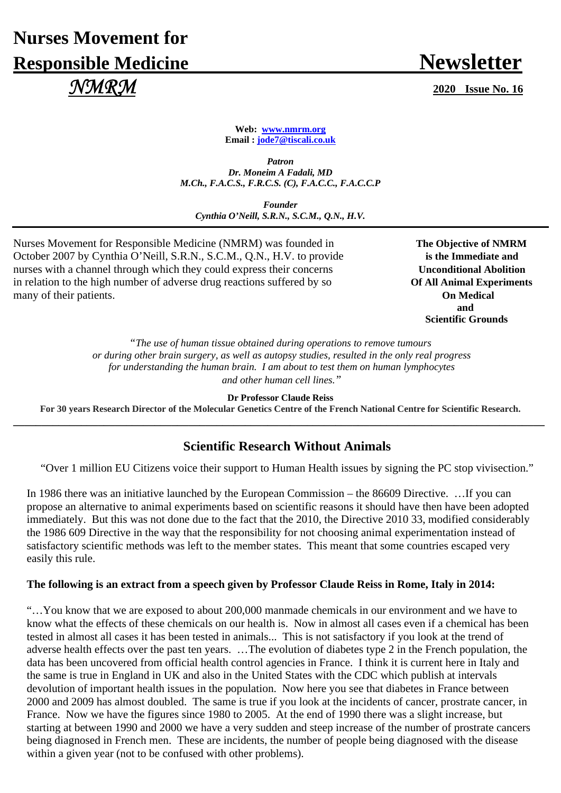# **Nurses Movement for Responsible Medicine Newsletter**  *NMRM* **2020 Issue No. 16**

**Web: www.nmrm.org Email : jode7@tiscali.co.uk** 

*Patron Dr. Moneim A Fadali, MD M.Ch., F.A.C.S., F.R.C.S. (C), F.A.C.C., F.A.C.C.P* 

*Founder Cynthia O'Neill, S.R.N., S.C.M., Q.N., H.V.*

Nurses Movement for Responsible Medicine (NMRM) was founded in **The Objective of NMRM** October 2007 by Cynthia O'Neill, S.R.N., S.C.M., Q.N., H.V. to provide **is the Immediate and** nurses with a channel through which they could express their concerns **Unconditional Abolition** in relation to the high number of adverse drug reactions suffered by so **Of All Animal Experiments** many of their patients. **On Medical** 

 **and Scientific Grounds** 

> *"The use of human tissue obtained during operations to remove tumours or during other brain surgery, as well as autopsy studies, resulted in the only real progress for understanding the human brain. I am about to test them on human lymphocytes and other human cell lines."*

> > **Dr Professor Claude Reiss**

**For 30 years Research Director of the Molecular Genetics Centre of the French National Centre for Scientific Research. \_\_\_\_\_\_\_\_\_\_\_\_\_\_\_\_\_\_\_\_\_\_\_\_\_\_\_\_\_\_\_\_\_\_\_\_\_\_\_\_\_\_\_\_\_\_\_\_\_\_\_\_\_\_\_\_\_\_\_\_\_\_\_\_\_\_\_\_\_\_\_\_\_\_\_\_\_\_\_\_\_\_\_\_\_\_\_\_\_\_\_\_\_\_**

## **Scientific Research Without Animals**

"Over 1 million EU Citizens voice their support to Human Health issues by signing the PC stop vivisection."

In 1986 there was an initiative launched by the European Commission – the 86609 Directive. …If you can propose an alternative to animal experiments based on scientific reasons it should have then have been adopted immediately. But this was not done due to the fact that the 2010, the Directive 2010 33, modified considerably the 1986 609 Directive in the way that the responsibility for not choosing animal experimentation instead of satisfactory scientific methods was left to the member states. This meant that some countries escaped very easily this rule.

#### **The following is an extract from a speech given by Professor Claude Reiss in Rome, Italy in 2014:**

"…You know that we are exposed to about 200,000 manmade chemicals in our environment and we have to know what the effects of these chemicals on our health is. Now in almost all cases even if a chemical has been tested in almost all cases it has been tested in animals... This is not satisfactory if you look at the trend of adverse health effects over the past ten years. …The evolution of diabetes type 2 in the French population, the data has been uncovered from official health control agencies in France. I think it is current here in Italy and the same is true in England in UK and also in the United States with the CDC which publish at intervals devolution of important health issues in the population. Now here you see that diabetes in France between 2000 and 2009 has almost doubled. The same is true if you look at the incidents of cancer, prostrate cancer, in France. Now we have the figures since 1980 to 2005. At the end of 1990 there was a slight increase, but starting at between 1990 and 2000 we have a very sudden and steep increase of the number of prostrate cancers being diagnosed in French men. These are incidents, the number of people being diagnosed with the disease within a given year (not to be confused with other problems).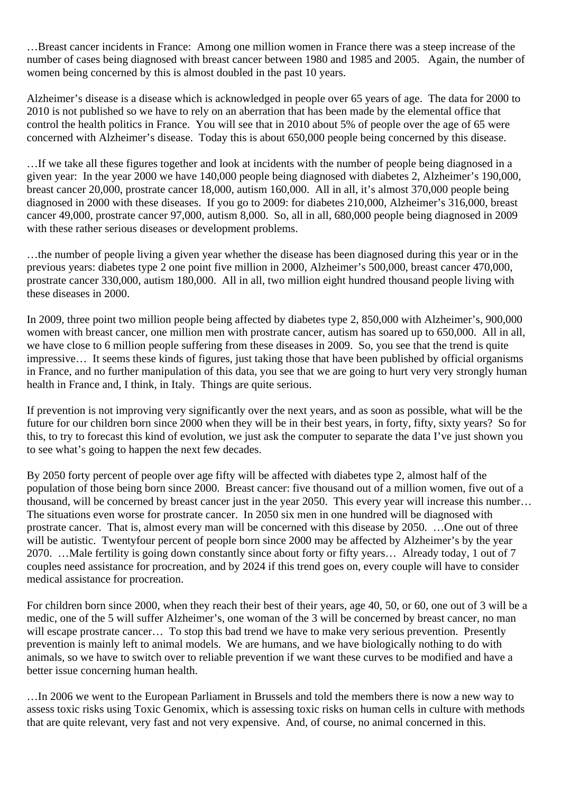…Breast cancer incidents in France: Among one million women in France there was a steep increase of the number of cases being diagnosed with breast cancer between 1980 and 1985 and 2005. Again, the number of women being concerned by this is almost doubled in the past 10 years.

Alzheimer's disease is a disease which is acknowledged in people over 65 years of age. The data for 2000 to 2010 is not published so we have to rely on an aberration that has been made by the elemental office that control the health politics in France. You will see that in 2010 about 5% of people over the age of 65 were concerned with Alzheimer's disease. Today this is about 650,000 people being concerned by this disease.

…If we take all these figures together and look at incidents with the number of people being diagnosed in a given year: In the year 2000 we have 140,000 people being diagnosed with diabetes 2, Alzheimer's 190,000, breast cancer 20,000, prostrate cancer 18,000, autism 160,000. All in all, it's almost 370,000 people being diagnosed in 2000 with these diseases. If you go to 2009: for diabetes 210,000, Alzheimer's 316,000, breast cancer 49,000, prostrate cancer 97,000, autism 8,000. So, all in all, 680,000 people being diagnosed in 2009 with these rather serious diseases or development problems.

…the number of people living a given year whether the disease has been diagnosed during this year or in the previous years: diabetes type 2 one point five million in 2000, Alzheimer's 500,000, breast cancer 470,000, prostrate cancer 330,000, autism 180,000. All in all, two million eight hundred thousand people living with these diseases in 2000.

In 2009, three point two million people being affected by diabetes type 2, 850,000 with Alzheimer's, 900,000 women with breast cancer, one million men with prostrate cancer, autism has soared up to 650,000. All in all, we have close to 6 million people suffering from these diseases in 2009. So, you see that the trend is quite impressive… It seems these kinds of figures, just taking those that have been published by official organisms in France, and no further manipulation of this data, you see that we are going to hurt very very strongly human health in France and, I think, in Italy. Things are quite serious.

If prevention is not improving very significantly over the next years, and as soon as possible, what will be the future for our children born since 2000 when they will be in their best years, in forty, fifty, sixty years? So for this, to try to forecast this kind of evolution, we just ask the computer to separate the data I've just shown you to see what's going to happen the next few decades.

By 2050 forty percent of people over age fifty will be affected with diabetes type 2, almost half of the population of those being born since 2000. Breast cancer: five thousand out of a million women, five out of a thousand, will be concerned by breast cancer just in the year 2050. This every year will increase this number… The situations even worse for prostrate cancer. In 2050 six men in one hundred will be diagnosed with prostrate cancer. That is, almost every man will be concerned with this disease by 2050. …One out of three will be autistic. Twentyfour percent of people born since 2000 may be affected by Alzheimer's by the year 2070. …Male fertility is going down constantly since about forty or fifty years… Already today, 1 out of 7 couples need assistance for procreation, and by 2024 if this trend goes on, every couple will have to consider medical assistance for procreation.

For children born since 2000, when they reach their best of their years, age 40, 50, or 60, one out of 3 will be a medic, one of the 5 will suffer Alzheimer's, one woman of the 3 will be concerned by breast cancer, no man will escape prostrate cancer... To stop this bad trend we have to make very serious prevention. Presently prevention is mainly left to animal models. We are humans, and we have biologically nothing to do with animals, so we have to switch over to reliable prevention if we want these curves to be modified and have a better issue concerning human health.

…In 2006 we went to the European Parliament in Brussels and told the members there is now a new way to assess toxic risks using Toxic Genomix, which is assessing toxic risks on human cells in culture with methods that are quite relevant, very fast and not very expensive. And, of course, no animal concerned in this.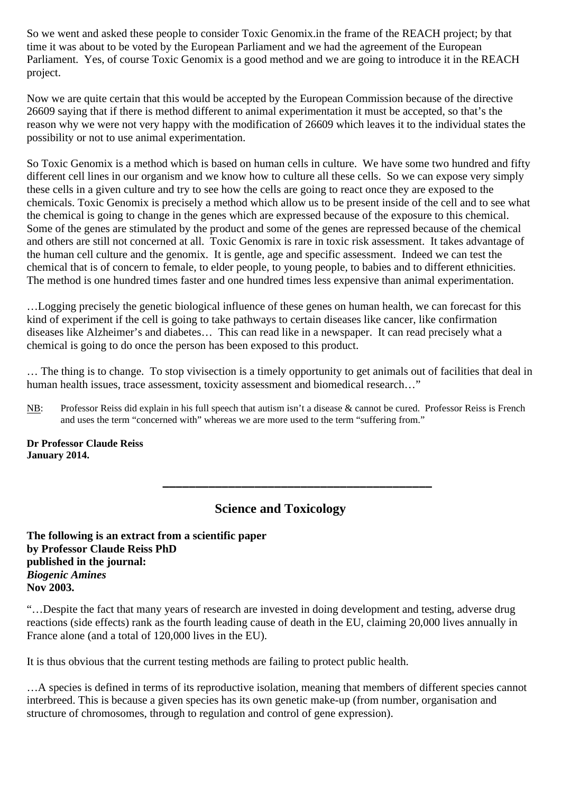So we went and asked these people to consider Toxic Genomix.in the frame of the REACH project; by that time it was about to be voted by the European Parliament and we had the agreement of the European Parliament. Yes, of course Toxic Genomix is a good method and we are going to introduce it in the REACH project.

Now we are quite certain that this would be accepted by the European Commission because of the directive 26609 saying that if there is method different to animal experimentation it must be accepted, so that's the reason why we were not very happy with the modification of 26609 which leaves it to the individual states the possibility or not to use animal experimentation.

So Toxic Genomix is a method which is based on human cells in culture. We have some two hundred and fifty different cell lines in our organism and we know how to culture all these cells. So we can expose very simply these cells in a given culture and try to see how the cells are going to react once they are exposed to the chemicals. Toxic Genomix is precisely a method which allow us to be present inside of the cell and to see what the chemical is going to change in the genes which are expressed because of the exposure to this chemical. Some of the genes are stimulated by the product and some of the genes are repressed because of the chemical and others are still not concerned at all. Toxic Genomix is rare in toxic risk assessment. It takes advantage of the human cell culture and the genomix. It is gentle, age and specific assessment. Indeed we can test the chemical that is of concern to female, to elder people, to young people, to babies and to different ethnicities. The method is one hundred times faster and one hundred times less expensive than animal experimentation.

…Logging precisely the genetic biological influence of these genes on human health, we can forecast for this kind of experiment if the cell is going to take pathways to certain diseases like cancer, like confirmation diseases like Alzheimer's and diabetes… This can read like in a newspaper. It can read precisely what a chemical is going to do once the person has been exposed to this product.

… The thing is to change. To stop vivisection is a timely opportunity to get animals out of facilities that deal in human health issues, trace assessment, toxicity assessment and biomedical research..."

NB: Professor Reiss did explain in his full speech that autism isn't a disease & cannot be cured. Professor Reiss is French and uses the term "concerned with" whereas we are more used to the term "suffering from."

**Dr Professor Claude Reiss January 2014.** 

# **Science and Toxicology**

**\_\_\_\_\_\_\_\_\_\_\_\_\_\_\_\_\_\_\_\_\_\_\_\_\_\_\_\_\_\_\_\_\_\_\_\_\_\_\_\_\_**

**The following is an extract from a scientific paper by Professor Claude Reiss PhD published in the journal:**  *Biogenic Amines*  **Nov 2003.** 

"…Despite the fact that many years of research are invested in doing development and testing, adverse drug reactions (side effects) rank as the fourth leading cause of death in the EU, claiming 20,000 lives annually in France alone (and a total of 120,000 lives in the EU).

It is thus obvious that the current testing methods are failing to protect public health.

…A species is defined in terms of its reproductive isolation, meaning that members of different species cannot interbreed. This is because a given species has its own genetic make-up (from number, organisation and structure of chromosomes, through to regulation and control of gene expression).